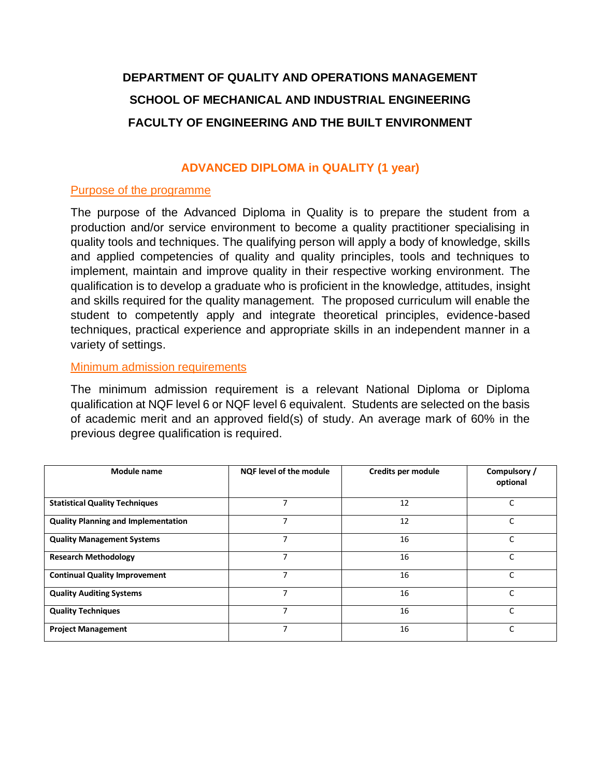# **DEPARTMENT OF QUALITY AND OPERATIONS MANAGEMENT SCHOOL OF MECHANICAL AND INDUSTRIAL ENGINEERING FACULTY OF ENGINEERING AND THE BUILT ENVIRONMENT**

# **ADVANCED DIPLOMA in QUALITY (1 year)**

# Purpose of the programme

The purpose of the Advanced Diploma in Quality is to prepare the student from a production and/or service environment to become a quality practitioner specialising in quality tools and techniques. The qualifying person will apply a body of knowledge, skills and applied competencies of quality and quality principles, tools and techniques to implement, maintain and improve quality in their respective working environment. The qualification is to develop a graduate who is proficient in the knowledge, attitudes, insight and skills required for the quality management. The proposed curriculum will enable the student to competently apply and integrate theoretical principles, evidence-based techniques, practical experience and appropriate skills in an independent manner in a variety of settings.

### **Minimum admission requirements**

The minimum admission requirement is a relevant National Diploma or Diploma qualification at NQF level 6 or NQF level 6 equivalent. Students are selected on the basis of academic merit and an approved field(s) of study. An average mark of 60% in the previous degree qualification is required.

| Module name                                | <b>NQF level of the module</b> | Credits per module | Compulsory /<br>optional |
|--------------------------------------------|--------------------------------|--------------------|--------------------------|
| <b>Statistical Quality Techniques</b>      |                                | 12                 | C                        |
| <b>Quality Planning and Implementation</b> |                                | 12                 | C                        |
| <b>Quality Management Systems</b>          |                                | 16                 | C                        |
| <b>Research Methodology</b>                | ⇁                              | 16                 | C                        |
| <b>Continual Quality Improvement</b>       | 7                              | 16                 | C                        |
| <b>Quality Auditing Systems</b>            | $\overline{ }$                 | 16                 | C                        |
| <b>Quality Techniques</b>                  | ⇁                              | 16                 | Ċ                        |
| <b>Project Management</b>                  | ⇁                              | 16                 | Ċ                        |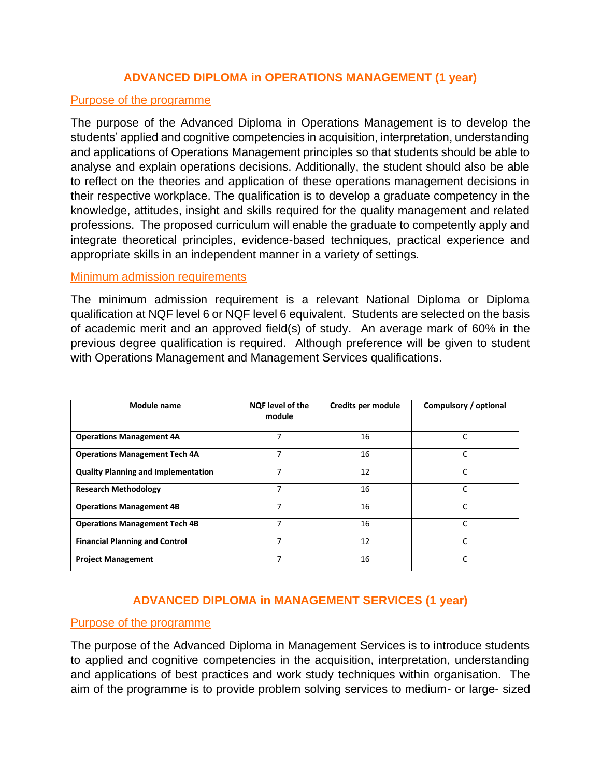# **ADVANCED DIPLOMA in OPERATIONS MANAGEMENT (1 year)**

# Purpose of the programme

The purpose of the Advanced Diploma in Operations Management is to develop the students' applied and cognitive competencies in acquisition, interpretation, understanding and applications of Operations Management principles so that students should be able to analyse and explain operations decisions. Additionally, the student should also be able to reflect on the theories and application of these operations management decisions in their respective workplace. The qualification is to develop a graduate competency in the knowledge, attitudes, insight and skills required for the quality management and related professions. The proposed curriculum will enable the graduate to competently apply and integrate theoretical principles, evidence-based techniques, practical experience and appropriate skills in an independent manner in a variety of settings.

#### Minimum admission requirements

The minimum admission requirement is a relevant National Diploma or Diploma qualification at NQF level 6 or NQF level 6 equivalent. Students are selected on the basis of academic merit and an approved field(s) of study. An average mark of 60% in the previous degree qualification is required. Although preference will be given to student with Operations Management and Management Services qualifications.

| Module name                                | NQF level of the<br>module | Credits per module | Compulsory / optional |
|--------------------------------------------|----------------------------|--------------------|-----------------------|
| <b>Operations Management 4A</b>            | 7                          | 16                 | C                     |
| <b>Operations Management Tech 4A</b>       | 7                          | 16                 | C                     |
| <b>Quality Planning and Implementation</b> | 7                          | 12                 | C                     |
| <b>Research Methodology</b>                | 7                          | 16                 | C                     |
| <b>Operations Management 4B</b>            | 7                          | 16                 | $\mathsf{C}$          |
| <b>Operations Management Tech 4B</b>       | 7                          | 16                 | C                     |
| <b>Financial Planning and Control</b>      | 7                          | 12                 | C                     |
| <b>Project Management</b>                  | 7                          | 16                 |                       |

# **ADVANCED DIPLOMA in MANAGEMENT SERVICES (1 year)**

#### Purpose of the programme

The purpose of the Advanced Diploma in Management Services is to introduce students to applied and cognitive competencies in the acquisition, interpretation, understanding and applications of best practices and work study techniques within organisation. The aim of the programme is to provide problem solving services to medium- or large- sized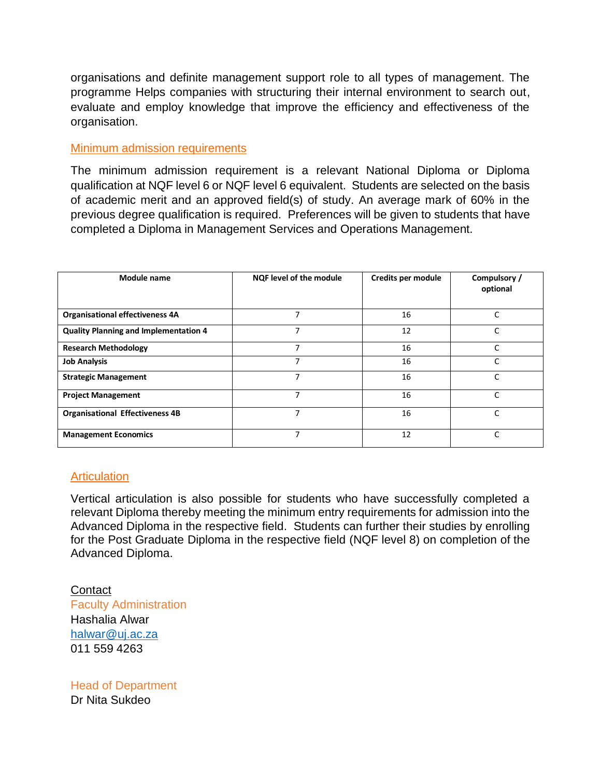organisations and definite management support role to all types of management. The programme Helps companies with structuring their internal environment to search out, evaluate and employ knowledge that improve the efficiency and effectiveness of the organisation.

# Minimum admission requirements

The minimum admission requirement is a relevant National Diploma or Diploma qualification at NQF level 6 or NQF level 6 equivalent. Students are selected on the basis of academic merit and an approved field(s) of study. An average mark of 60% in the previous degree qualification is required. Preferences will be given to students that have completed a Diploma in Management Services and Operations Management.

| Module name                                  | <b>NQF level of the module</b> | Credits per module | Compulsory /<br>optional |
|----------------------------------------------|--------------------------------|--------------------|--------------------------|
| <b>Organisational effectiveness 4A</b>       | 7                              | 16                 | C                        |
| <b>Quality Planning and Implementation 4</b> |                                | 12                 | C                        |
| <b>Research Methodology</b>                  | $\overline{ }$                 | 16                 | $\mathsf{C}$             |
| <b>Job Analysis</b>                          | $\overline{ }$                 | 16                 | C                        |
| <b>Strategic Management</b>                  | 7                              | 16                 | C                        |
| <b>Project Management</b>                    | $\overline{ }$                 | 16                 | C                        |
| <b>Organisational Effectiveness 4B</b>       | 7                              | 16                 | C                        |
| <b>Management Economics</b>                  | 7                              | 12                 | C                        |

# **Articulation**

Vertical articulation is also possible for students who have successfully completed a relevant Diploma thereby meeting the minimum entry requirements for admission into the Advanced Diploma in the respective field. Students can further their studies by enrolling for the Post Graduate Diploma in the respective field (NQF level 8) on completion of the Advanced Diploma.

**Contact** Faculty Administration Hashalia Alwar [halwar@uj.ac.za](mailto:halwar@uj.ac.za) 011 559 4263

Head of Department Dr Nita Sukdeo